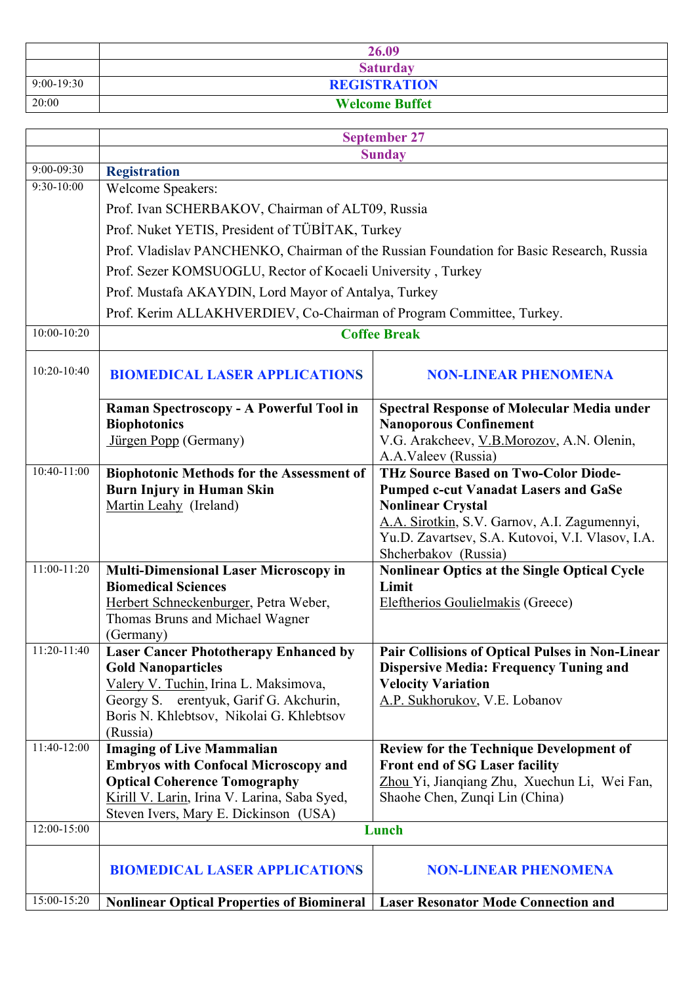|              | 26.09                 |
|--------------|-----------------------|
|              | <b>Saturday</b>       |
| $9:00-19:30$ | <b>REGISTRATION</b>   |
| 20:00        | <b>Welcome Buffet</b> |

|               | <b>September 27</b>                                                                      |                                                                  |
|---------------|------------------------------------------------------------------------------------------|------------------------------------------------------------------|
|               | <b>Sunday</b>                                                                            |                                                                  |
| 9:00-09:30    | <b>Registration</b>                                                                      |                                                                  |
| 9:30-10:00    | Welcome Speakers:                                                                        |                                                                  |
|               | Prof. Ivan SCHERBAKOV, Chairman of ALT09, Russia                                         |                                                                  |
|               | Prof. Nuket YETIS, President of TÜBİTAK, Turkey                                          |                                                                  |
|               | Prof. Vladislav PANCHENKO, Chairman of the Russian Foundation for Basic Research, Russia |                                                                  |
|               | Prof. Sezer KOMSUOGLU, Rector of Kocaeli University, Turkey                              |                                                                  |
|               | Prof. Mustafa AKAYDIN, Lord Mayor of Antalya, Turkey                                     |                                                                  |
|               | Prof. Kerim ALLAKHVERDIEV, Co-Chairman of Program Committee, Turkey.                     |                                                                  |
| 10:00-10:20   | <b>Coffee Break</b>                                                                      |                                                                  |
| 10:20-10:40   | <b>BIOMEDICAL LASER APPLICATIONS</b><br><b>NON-LINEAR PHENOMENA</b>                      |                                                                  |
|               |                                                                                          |                                                                  |
|               | Raman Spectroscopy - A Powerful Tool in                                                  | <b>Spectral Response of Molecular Media under</b>                |
|               | <b>Biophotonics</b>                                                                      | <b>Nanoporous Confinement</b>                                    |
|               | Jürgen Popp (Germany)                                                                    | V.G. Arakcheev, V.B.Morozov, A.N. Olenin,<br>A.A.Valeev (Russia) |
| 10:40-11:00   | <b>Biophotonic Methods for the Assessment of</b>                                         | <b>THz Source Based on Two-Color Diode-</b>                      |
|               | <b>Burn Injury in Human Skin</b>                                                         | <b>Pumped c-cut Vanadat Lasers and GaSe</b>                      |
|               | Martin Leahy (Ireland)                                                                   | <b>Nonlinear Crystal</b>                                         |
|               |                                                                                          | A.A. Sirotkin, S.V. Garnov, A.I. Zagumennyi,                     |
|               |                                                                                          | Yu.D. Zavartsev, S.A. Kutovoi, V.I. Vlasov, I.A.                 |
| $11:00-11:20$ |                                                                                          | Shcherbakov (Russia)                                             |
|               | <b>Multi-Dimensional Laser Microscopy in</b><br><b>Biomedical Sciences</b>               | <b>Nonlinear Optics at the Single Optical Cycle</b><br>Limit     |
|               | Herbert Schneckenburger, Petra Weber,                                                    | Eleftherios Goulielmakis (Greece)                                |
|               | Thomas Bruns and Michael Wagner                                                          |                                                                  |
|               | (Germany)                                                                                |                                                                  |
| 11:20-11:40   | <b>Laser Cancer Phototherapy Enhanced by</b>                                             | <b>Pair Collisions of Optical Pulses in Non-Linear</b>           |
|               | <b>Gold Nanoparticles</b>                                                                | <b>Dispersive Media: Frequency Tuning and</b>                    |
|               | Valery V. Tuchin, Irina L. Maksimova,                                                    | <b>Velocity Variation</b>                                        |
|               | Georgy S. erentyuk, Garif G. Akchurin,                                                   | A.P. Sukhorukov, V.E. Lobanov                                    |
|               | Boris N. Khlebtsov, Nikolai G. Khlebtsov                                                 |                                                                  |
| 11:40-12:00   | (Russia)<br><b>Imaging of Live Mammalian</b>                                             | Review for the Technique Development of                          |
|               | <b>Embryos with Confocal Microscopy and</b>                                              | <b>Front end of SG Laser facility</b>                            |
|               | <b>Optical Coherence Tomography</b>                                                      | Zhou Yi, Jianqiang Zhu, Xuechun Li, Wei Fan,                     |
|               | Kirill V. Larin, Irina V. Larina, Saba Syed,                                             | Shaohe Chen, Zungi Lin (China)                                   |
|               | Steven Ivers, Mary E. Dickinson (USA)                                                    |                                                                  |
| 12:00-15:00   |                                                                                          | Lunch                                                            |
|               | <b>BIOMEDICAL LASER APPLICATIONS</b>                                                     | <b>NON-LINEAR PHENOMENA</b>                                      |
| 15:00-15:20   | <b>Nonlinear Optical Properties of Biomineral</b>                                        | <b>Laser Resonator Mode Connection and</b>                       |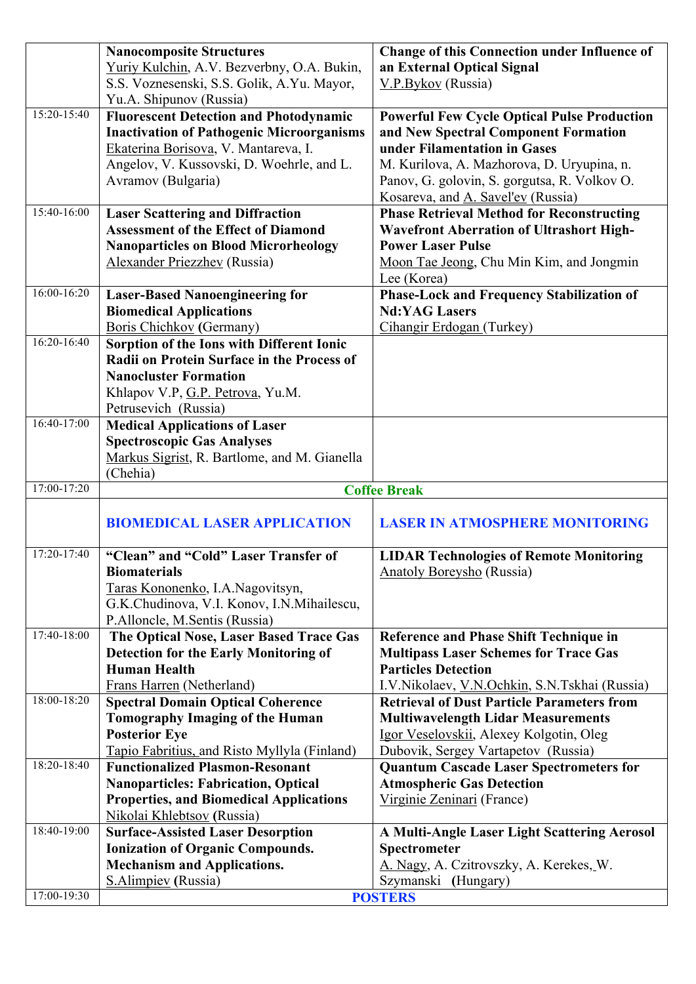|                 | <b>Nanocomposite Structures</b>                  | <b>Change of this Connection under Influence of</b> |
|-----------------|--------------------------------------------------|-----------------------------------------------------|
|                 | Yuriy Kulchin, A.V. Bezverbny, O.A. Bukin,       | an External Optical Signal                          |
|                 | S.S. Voznesenski, S.S. Golik, A.Yu. Mayor,       | V.P.Bykov (Russia)                                  |
|                 | Yu.A. Shipunov (Russia)                          |                                                     |
| 15:20-15:40     | <b>Fluorescent Detection and Photodynamic</b>    | <b>Powerful Few Cycle Optical Pulse Production</b>  |
|                 | <b>Inactivation of Pathogenic Microorganisms</b> | and New Spectral Component Formation                |
|                 | Ekaterina Borisova, V. Mantareva, I.             | under Filamentation in Gases                        |
|                 | Angelov, V. Kussovski, D. Woehrle, and L.        | M. Kurilova, A. Mazhorova, D. Uryupina, n.          |
|                 | Avramov (Bulgaria)                               | Panov, G. golovin, S. gorgutsa, R. Volkov O.        |
|                 |                                                  | Kosareva, and A. Savel'ev (Russia)                  |
| 15:40-16:00     | <b>Laser Scattering and Diffraction</b>          | <b>Phase Retrieval Method for Reconstructing</b>    |
|                 | <b>Assessment of the Effect of Diamond</b>       | <b>Wavefront Aberration of Ultrashort High-</b>     |
|                 | <b>Nanoparticles on Blood Microrheology</b>      | <b>Power Laser Pulse</b>                            |
|                 | Alexander Priezzhev (Russia)                     | Moon Tae Jeong, Chu Min Kim, and Jongmin            |
|                 |                                                  | Lee (Korea)                                         |
| $16:00 - 16:20$ | <b>Laser-Based Nanoengineering for</b>           | Phase-Lock and Frequency Stabilization of           |
|                 | <b>Biomedical Applications</b>                   | <b>Nd:YAG Lasers</b>                                |
|                 | Boris Chichkov (Germany)                         | Cihangir Erdogan (Turkey)                           |
| $16:20 - 16:40$ | Sorption of the Ions with Different Ionic        |                                                     |
|                 | Radii on Protein Surface in the Process of       |                                                     |
|                 | <b>Nanocluster Formation</b>                     |                                                     |
|                 | Khlapov V.P, G.P. Petrova, Yu.M.                 |                                                     |
|                 | Petrusevich (Russia)                             |                                                     |
| $16:40-17:00$   | <b>Medical Applications of Laser</b>             |                                                     |
|                 | <b>Spectroscopic Gas Analyses</b>                |                                                     |
|                 | Markus Sigrist, R. Bartlome, and M. Gianella     |                                                     |
|                 | (Chehia)                                         |                                                     |
| 17:00-17:20     |                                                  | <b>Coffee Break</b>                                 |
|                 |                                                  |                                                     |
|                 | <b>BIOMEDICAL LASER APPLICATION</b>              | <b>LASER IN ATMOSPHERE MONITORING</b>               |
| 17:20-17:40     | "Clean" and "Cold" Laser Transfer of             | <b>LIDAR Technologies of Remote Monitoring</b>      |
|                 | <b>Biomaterials</b>                              | <b>Anatoly Boreysho</b> (Russia)                    |
|                 | Taras Kononenko, I.A.Nagovitsyn,                 |                                                     |
|                 | G.K.Chudinova, V.I. Konov, I.N.Mihailescu,       |                                                     |
|                 | P.Alloncle, M.Sentis (Russia)                    |                                                     |
| 17:40-18:00     | The Optical Nose, Laser Based Trace Gas          | Reference and Phase Shift Technique in              |
|                 | <b>Detection for the Early Monitoring of</b>     | <b>Multipass Laser Schemes for Trace Gas</b>        |
|                 | <b>Human Health</b>                              | <b>Particles Detection</b>                          |
|                 | Frans Harren (Netherland)                        | I.V.Nikolaev, V.N.Ochkin, S.N.Tskhai (Russia)       |
| 18:00-18:20     | <b>Spectral Domain Optical Coherence</b>         | <b>Retrieval of Dust Particle Parameters from</b>   |
|                 | <b>Tomography Imaging of the Human</b>           | <b>Multiwavelength Lidar Measurements</b>           |
|                 | <b>Posterior Eye</b>                             | Igor Veselovskii, Alexey Kolgotin, Oleg             |
|                 | Tapio Fabritius, and Risto Myllyla (Finland)     | Dubovik, Sergey Vartapetov (Russia)                 |
| 18:20-18:40     | <b>Functionalized Plasmon-Resonant</b>           | <b>Quantum Cascade Laser Spectrometers for</b>      |
|                 | <b>Nanoparticles: Fabrication, Optical</b>       | <b>Atmospheric Gas Detection</b>                    |
|                 | <b>Properties, and Biomedical Applications</b>   | Virginie Zeninari (France)                          |
|                 | Nikolai Khlebtsov (Russia)                       |                                                     |
| 18:40-19:00     | <b>Surface-Assisted Laser Desorption</b>         | A Multi-Angle Laser Light Scattering Aerosol        |
|                 | <b>Ionization of Organic Compounds.</b>          | Spectrometer                                        |
|                 | <b>Mechanism and Applications.</b>               | A. Nagy, A. Czitrovszky, A. Kerekes, W.             |
|                 | <b>S.Alimpiev</b> (Russia)                       | Szymanski (Hungary)                                 |
| 17:00-19:30     |                                                  | <b>POSTERS</b>                                      |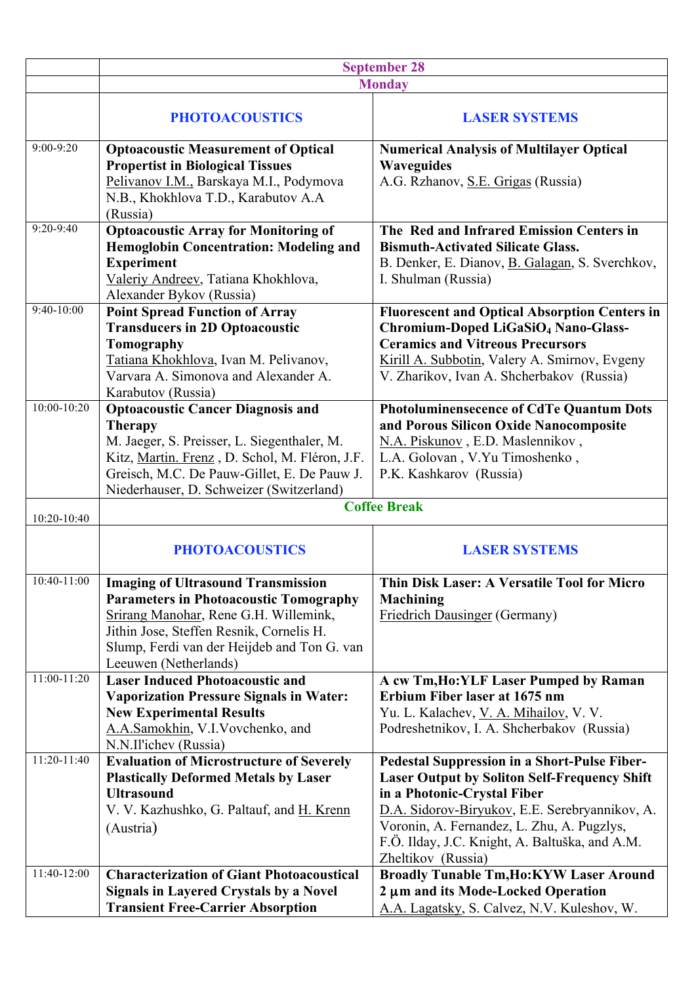|               | <b>September 28</b>                                                                                                                                                                                                                                     |                                                                                                                                                                                                                                                                                                            |
|---------------|---------------------------------------------------------------------------------------------------------------------------------------------------------------------------------------------------------------------------------------------------------|------------------------------------------------------------------------------------------------------------------------------------------------------------------------------------------------------------------------------------------------------------------------------------------------------------|
|               | <b>Monday</b>                                                                                                                                                                                                                                           |                                                                                                                                                                                                                                                                                                            |
|               | <b>PHOTOACOUSTICS</b>                                                                                                                                                                                                                                   | <b>LASER SYSTEMS</b>                                                                                                                                                                                                                                                                                       |
| $9:00 - 9:20$ | <b>Optoacoustic Measurement of Optical</b><br><b>Propertist in Biological Tissues</b><br>Pelivanov I.M., Barskaya M.I., Podymova<br>N.B., Khokhlova T.D., Karabutov A.A<br>(Russia)                                                                     | <b>Numerical Analysis of Multilayer Optical</b><br><b>Waveguides</b><br>A.G. Rzhanov, S.E. Grigas (Russia)                                                                                                                                                                                                 |
| $9:20 - 9:40$ | <b>Optoacoustic Array for Monitoring of</b><br>Hemoglobin Concentration: Modeling and<br><b>Experiment</b><br>Valeriy Andreev, Tatiana Khokhlova,<br>Alexander Bykov (Russia)                                                                           | The Red and Infrared Emission Centers in<br><b>Bismuth-Activated Silicate Glass.</b><br>B. Denker, E. Dianov, B. Galagan, S. Sverchkov,<br>I. Shulman (Russia)                                                                                                                                             |
| $9:40-10:00$  | <b>Point Spread Function of Array</b><br><b>Transducers in 2D Optoacoustic</b><br>Tomography<br>Tatiana Khokhlova, Ivan M. Pelivanov,<br>Varvara A. Simonova and Alexander A.<br>Karabutov (Russia)                                                     | <b>Fluorescent and Optical Absorption Centers in</b><br>Chromium-Doped LiGaSiO <sub>4</sub> Nano-Glass-<br><b>Ceramics and Vitreous Precursors</b><br>Kirill A. Subbotin, Valery A. Smirnov, Evgeny<br>V. Zharikov, Ivan A. Shcherbakov (Russia)                                                           |
| 10:00-10:20   | <b>Optoacoustic Cancer Diagnosis and</b><br><b>Therapy</b><br>M. Jaeger, S. Preisser, L. Siegenthaler, M.<br>Kitz, Martin. Frenz, D. Schol, M. Fléron, J.F.<br>Greisch, M.C. De Pauw-Gillet, E. De Pauw J.<br>Niederhauser, D. Schweizer (Switzerland)  | <b>Photoluminensecence of CdTe Quantum Dots</b><br>and Porous Silicon Oxide Nanocomposite<br>N.A. Piskunov, E.D. Maslennikov,<br>L.A. Golovan, V.Yu Timoshenko,<br>P.K. Kashkarov (Russia)                                                                                                                 |
| 10:20-10:40   |                                                                                                                                                                                                                                                         | <b>Coffee Break</b>                                                                                                                                                                                                                                                                                        |
|               | <b>PHOTOACOUSTICS</b>                                                                                                                                                                                                                                   | <b>LASER SYSTEMS</b>                                                                                                                                                                                                                                                                                       |
| 10:40-11:00   | <b>Imaging of Ultrasound Transmission</b><br><b>Parameters in Photoacoustic Tomography</b><br>Srirang Manohar, Rene G.H. Willemink,<br>Jithin Jose, Steffen Resnik, Cornelis H.<br>Slump, Ferdi van der Heijdeb and Ton G. van<br>Leeuwen (Netherlands) | Thin Disk Laser: A Versatile Tool for Micro<br><b>Machining</b><br>Friedrich Dausinger (Germany)                                                                                                                                                                                                           |
| $11:00-11:20$ | <b>Laser Induced Photoacoustic and</b><br><b>Vaporization Pressure Signals in Water:</b><br><b>New Experimental Results</b><br>A.A.Samokhin, V.I.Vovchenko, and<br>N.N.Il'ichev (Russia)                                                                | A cw Tm, Ho: YLF Laser Pumped by Raman<br>Erbium Fiber laser at 1675 nm<br>Yu. L. Kalachev, V. A. Mihailov, V. V.<br>Podreshetnikov, I. A. Shcherbakov (Russia)                                                                                                                                            |
| 11:20-11:40   | <b>Evaluation of Microstructure of Severely</b><br><b>Plastically Deformed Metals by Laser</b><br><b>Ultrasound</b><br>V. V. Kazhushko, G. Paltauf, and H. Krenn<br>(Austria)                                                                           | Pedestal Suppression in a Short-Pulse Fiber-<br><b>Laser Output by Soliton Self-Frequency Shift</b><br>in a Photonic-Crystal Fiber<br>D.A. Sidorov-Biryukov, E.E. Serebryannikov, A.<br>Voronin, A. Fernandez, L. Zhu, A. Pugzlys,<br>F.Ö. Ilday, J.C. Knight, A. Baltuška, and A.M.<br>Zheltikov (Russia) |
| 11:40-12:00   | <b>Characterization of Giant Photoacoustical</b><br><b>Signals in Layered Crystals by a Novel</b><br><b>Transient Free-Carrier Absorption</b>                                                                                                           | <b>Broadly Tunable Tm, Ho: KYW Laser Around</b><br>2 µm and its Mode-Locked Operation<br>A.A. Lagatsky, S. Calvez, N.V. Kuleshov, W.                                                                                                                                                                       |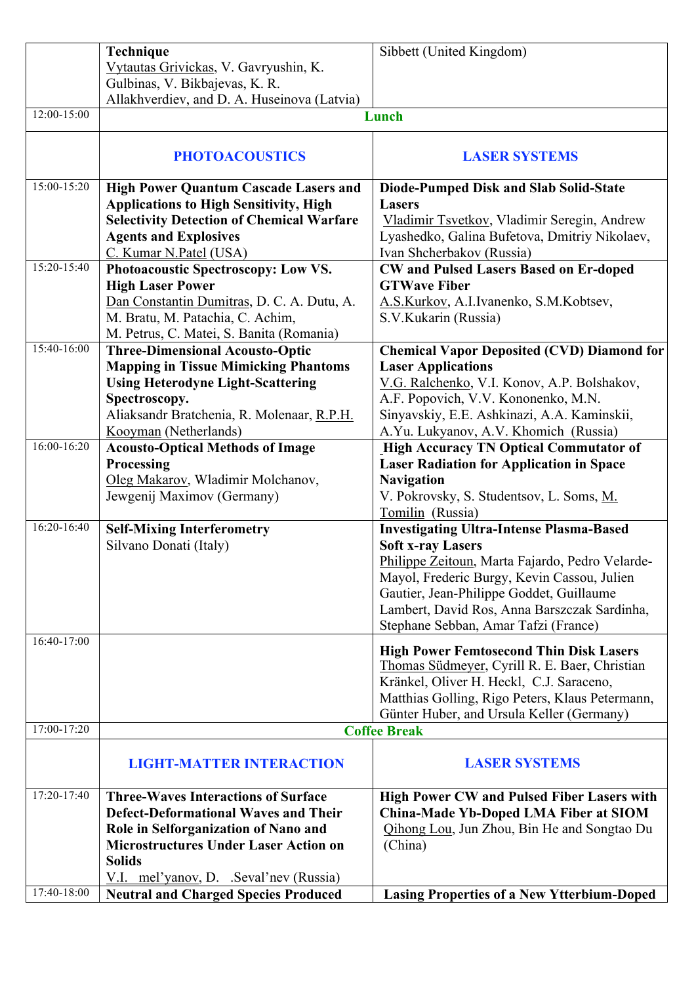|                 | Technique                                        | Sibbett (United Kingdom)                                                                        |
|-----------------|--------------------------------------------------|-------------------------------------------------------------------------------------------------|
|                 | Vytautas Grivickas, V. Gavryushin, K.            |                                                                                                 |
|                 | Gulbinas, V. Bikbajevas, K. R.                   |                                                                                                 |
|                 | Allakhverdiev, and D. A. Huseinova (Latvia)      |                                                                                                 |
| $12:00 - 15:00$ | Lunch                                            |                                                                                                 |
|                 |                                                  |                                                                                                 |
|                 | <b>PHOTOACOUSTICS</b>                            | <b>LASER SYSTEMS</b>                                                                            |
| 15:00-15:20     | <b>High Power Quantum Cascade Lasers and</b>     | Diode-Pumped Disk and Slab Solid-State                                                          |
|                 | <b>Applications to High Sensitivity, High</b>    | <b>Lasers</b>                                                                                   |
|                 | <b>Selectivity Detection of Chemical Warfare</b> | Vladimir Tsvetkov, Vladimir Seregin, Andrew                                                     |
|                 | <b>Agents and Explosives</b>                     | Lyashedko, Galina Bufetova, Dmitriy Nikolaev,                                                   |
|                 | C. Kumar N.Patel (USA)                           | Ivan Shcherbakov (Russia)                                                                       |
| 15:20-15:40     | Photoacoustic Spectroscopy: Low VS.              | <b>CW</b> and Pulsed Lasers Based on Er-doped                                                   |
|                 | <b>High Laser Power</b>                          | <b>GTWave Fiber</b>                                                                             |
|                 | Dan Constantin Dumitras, D. C. A. Dutu, A.       | A.S.Kurkov, A.I.Ivanenko, S.M.Kobtsev,                                                          |
|                 | M. Bratu, M. Patachia, C. Achim,                 | S.V.Kukarin (Russia)                                                                            |
|                 | M. Petrus, C. Matei, S. Banita (Romania)         |                                                                                                 |
| 15:40-16:00     | <b>Three-Dimensional Acousto-Optic</b>           | <b>Chemical Vapor Deposited (CVD) Diamond for</b>                                               |
|                 | <b>Mapping in Tissue Mimicking Phantoms</b>      | <b>Laser Applications</b>                                                                       |
|                 | <b>Using Heterodyne Light-Scattering</b>         | V.G. Ralchenko, V.I. Konov, A.P. Bolshakov,                                                     |
|                 | Spectroscopy.                                    | A.F. Popovich, V.V. Kononenko, M.N.                                                             |
|                 | Aliaksandr Bratchenia, R. Molenaar, R.P.H.       | Sinyavskiy, E.E. Ashkinazi, A.A. Kaminskii,                                                     |
|                 | Kooyman (Netherlands)                            | A.Yu. Lukyanov, A.V. Khomich (Russia)                                                           |
| 16:00-16:20     | <b>Acousto-Optical Methods of Image</b>          | <b>High Accuracy TN Optical Commutator of</b>                                                   |
|                 | Processing                                       | <b>Laser Radiation for Application in Space</b>                                                 |
|                 | Oleg Makarov, Wladimir Molchanov,                | <b>Navigation</b>                                                                               |
|                 | Jewgenij Maximov (Germany)                       | V. Pokrovsky, S. Studentsov, L. Soms, M.                                                        |
|                 |                                                  | Tomilin (Russia)                                                                                |
| 16:20-16:40     | <b>Self-Mixing Interferometry</b>                | <b>Investigating Ultra-Intense Plasma-Based</b>                                                 |
|                 | Silvano Donati (Italy)                           | <b>Soft x-ray Lasers</b>                                                                        |
|                 |                                                  | Philippe Zeitoun, Marta Fajardo, Pedro Velarde-                                                 |
|                 |                                                  | Mayol, Frederic Burgy, Kevin Cassou, Julien                                                     |
|                 |                                                  | Gautier, Jean-Philippe Goddet, Guillaume                                                        |
|                 |                                                  | Lambert, David Ros, Anna Barszczak Sardinha,                                                    |
|                 |                                                  | Stephane Sebban, Amar Tafzi (France)                                                            |
| 16:40-17:00     |                                                  |                                                                                                 |
|                 |                                                  | <b>High Power Femtosecond Thin Disk Lasers</b><br>Thomas Südmeyer, Cyrill R. E. Baer, Christian |
|                 |                                                  | Kränkel, Oliver H. Heckl, C.J. Saraceno,                                                        |
|                 |                                                  |                                                                                                 |
|                 |                                                  | Matthias Golling, Rigo Peters, Klaus Petermann,                                                 |
| 17:00-17:20     |                                                  | Günter Huber, and Ursula Keller (Germany)<br><b>Coffee Break</b>                                |
|                 |                                                  |                                                                                                 |
|                 | <b>LIGHT-MATTER INTERACTION</b>                  | <b>LASER SYSTEMS</b>                                                                            |
|                 |                                                  |                                                                                                 |
| 17:20-17:40     | <b>Three-Waves Interactions of Surface</b>       | <b>High Power CW and Pulsed Fiber Lasers with</b>                                               |
|                 | <b>Defect-Deformational Waves and Their</b>      | China-Made Yb-Doped LMA Fiber at SIOM                                                           |
|                 | Role in Selforganization of Nano and             | Qihong Lou, Jun Zhou, Bin He and Songtao Du                                                     |
|                 | <b>Microstructures Under Laser Action on</b>     | (China)                                                                                         |
|                 | <b>Solids</b>                                    |                                                                                                 |
|                 | $V.I.$ mel'yanov, D. Seval'nev (Russia)          |                                                                                                 |
| 17:40-18:00     | <b>Neutral and Charged Species Produced</b>      | <b>Lasing Properties of a New Ytterbium-Doped</b>                                               |
|                 |                                                  |                                                                                                 |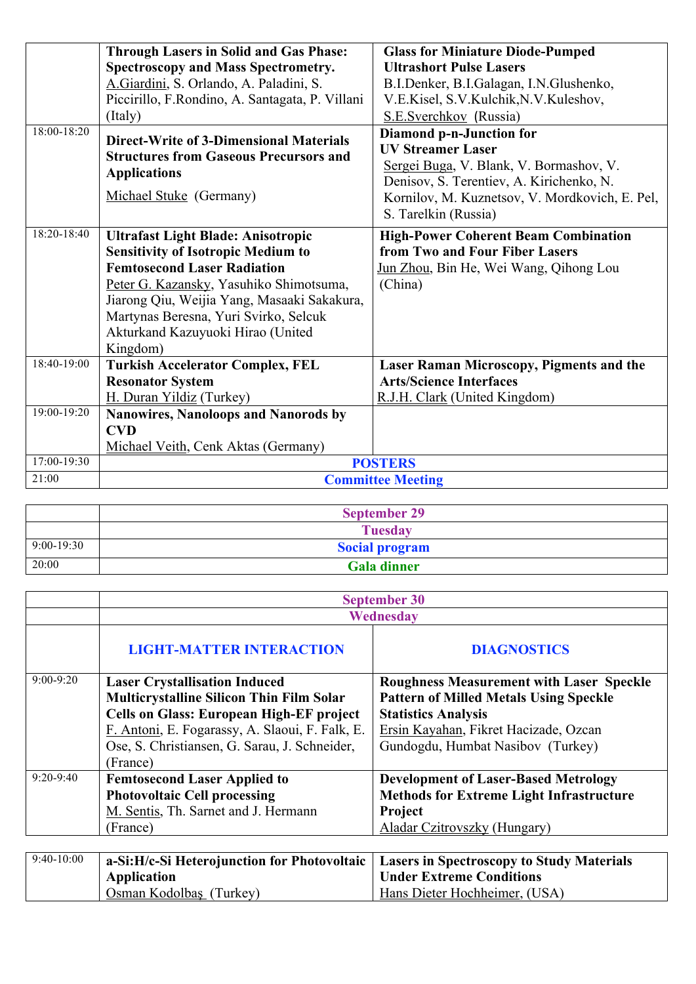|             | <b>Through Lasers in Solid and Gas Phase:</b>                                                                                                                                                                                                                                                                    | <b>Glass for Miniature Diode-Pumped</b>                                                                                                                                                                               |
|-------------|------------------------------------------------------------------------------------------------------------------------------------------------------------------------------------------------------------------------------------------------------------------------------------------------------------------|-----------------------------------------------------------------------------------------------------------------------------------------------------------------------------------------------------------------------|
|             | <b>Spectroscopy and Mass Spectrometry.</b>                                                                                                                                                                                                                                                                       | <b>Ultrashort Pulse Lasers</b>                                                                                                                                                                                        |
|             | A. Giardini, S. Orlando, A. Paladini, S.                                                                                                                                                                                                                                                                         | B.I.Denker, B.I.Galagan, I.N.Glushenko,                                                                                                                                                                               |
|             | Piccirillo, F.Rondino, A. Santagata, P. Villani                                                                                                                                                                                                                                                                  | V.E.Kisel, S.V.Kulchik, N.V.Kuleshov,                                                                                                                                                                                 |
|             | (Italy)                                                                                                                                                                                                                                                                                                          | S.E.Sverchkov (Russia)                                                                                                                                                                                                |
| 18:00-18:20 | <b>Direct-Write of 3-Dimensional Materials</b><br><b>Structures from Gaseous Precursors and</b><br><b>Applications</b><br>Michael Stuke (Germany)                                                                                                                                                                | Diamond p-n-Junction for<br><b>UV Streamer Laser</b><br>Sergei Buga, V. Blank, V. Bormashov, V.<br>Denisov, S. Terentiev, A. Kirichenko, N.<br>Kornilov, M. Kuznetsov, V. Mordkovich, E. Pel,<br>S. Tarelkin (Russia) |
| 18:20-18:40 | <b>Ultrafast Light Blade: Anisotropic</b><br><b>Sensitivity of Isotropic Medium to</b><br><b>Femtosecond Laser Radiation</b><br>Peter G. Kazansky, Yasuhiko Shimotsuma,<br>Jiarong Qiu, Weijia Yang, Masaaki Sakakura,<br>Martynas Beresna, Yuri Svirko, Selcuk<br>Akturkand Kazuyuoki Hirao (United<br>Kingdom) | <b>High-Power Coherent Beam Combination</b><br>from Two and Four Fiber Lasers<br>Jun Zhou, Bin He, Wei Wang, Qihong Lou<br>(China)                                                                                    |
| 18:40-19:00 | <b>Turkish Accelerator Complex, FEL</b>                                                                                                                                                                                                                                                                          | <b>Laser Raman Microscopy, Pigments and the</b>                                                                                                                                                                       |
|             | <b>Resonator System</b>                                                                                                                                                                                                                                                                                          | <b>Arts/Science Interfaces</b>                                                                                                                                                                                        |
|             | H. Duran Yildiz (Turkey)                                                                                                                                                                                                                                                                                         | R.J.H. Clark (United Kingdom)                                                                                                                                                                                         |
| 19:00-19:20 | Nanowires, Nanoloops and Nanorods by                                                                                                                                                                                                                                                                             |                                                                                                                                                                                                                       |
|             | <b>CVD</b>                                                                                                                                                                                                                                                                                                       |                                                                                                                                                                                                                       |
|             | Michael Veith, Cenk Aktas (Germany)                                                                                                                                                                                                                                                                              |                                                                                                                                                                                                                       |
| 17:00-19:30 |                                                                                                                                                                                                                                                                                                                  | <b>POSTERS</b>                                                                                                                                                                                                        |
| 21:00       |                                                                                                                                                                                                                                                                                                                  | <b>Committee Meeting</b>                                                                                                                                                                                              |

|              | <b>September 29</b>   |
|--------------|-----------------------|
|              | <b>Tuesday</b>        |
| $9:00-19:30$ | <b>Social program</b> |
| 20:00        | <b>Gala dinner</b>    |

|              | <b>September 30</b>                             |                                                  |
|--------------|-------------------------------------------------|--------------------------------------------------|
|              | Wednesday                                       |                                                  |
|              | <b>LIGHT-MATTER INTERACTION</b>                 | <b>DIAGNOSTICS</b>                               |
| $9:00-9:20$  | <b>Laser Crystallisation Induced</b>            | <b>Roughness Measurement with Laser Speckle</b>  |
|              | <b>Multicrystalline Silicon Thin Film Solar</b> | <b>Pattern of Milled Metals Using Speckle</b>    |
|              | <b>Cells on Glass: European High-EF project</b> | <b>Statistics Analysis</b>                       |
|              | F. Antoni, E. Fogarassy, A. Slaoui, F. Falk, E. | Ersin Kayahan, Fikret Hacizade, Ozcan            |
|              | Ose, S. Christiansen, G. Sarau, J. Schneider,   | Gundogdu, Humbat Nasibov (Turkey)                |
|              | (France)                                        |                                                  |
| $9:20-9:40$  | <b>Femtosecond Laser Applied to</b>             | <b>Development of Laser-Based Metrology</b>      |
|              | <b>Photovoltaic Cell processing</b>             | <b>Methods for Extreme Light Infrastructure</b>  |
|              | M. Sentis, Th. Sarnet and J. Hermann            | Project                                          |
|              | (France)                                        | Aladar Czitrovszky (Hungary)                     |
|              |                                                 |                                                  |
| $9:40-10:00$ | a-Si:H/c-Si Heterojunction for Photovoltaic     | <b>Lasers in Spectroscopy to Study Materials</b> |
|              | <b>Application</b>                              | <b>Under Extreme Conditions</b>                  |
|              | Osman Kodolbaş (Turkey)                         | Hans Dieter Hochheimer, (USA)                    |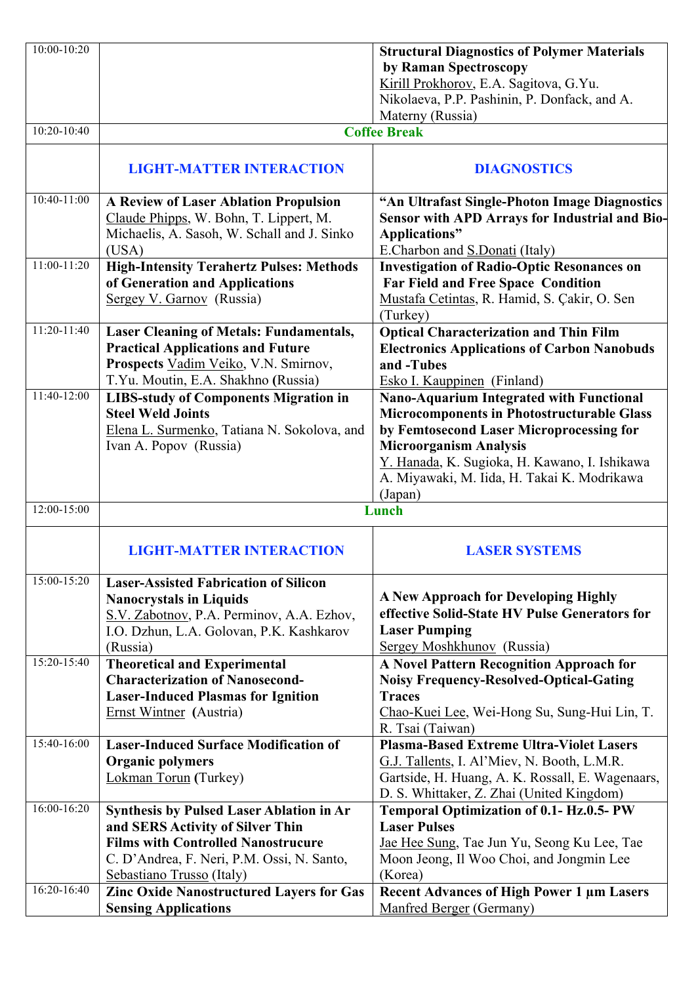| 10:00-10:20     |                                                 | <b>Structural Diagnostics of Polymer Materials</b> |
|-----------------|-------------------------------------------------|----------------------------------------------------|
|                 |                                                 | by Raman Spectroscopy                              |
|                 |                                                 | Kirill Prokhorov, E.A. Sagitova, G.Yu.             |
|                 |                                                 | Nikolaeva, P.P. Pashinin, P. Donfack, and A.       |
|                 |                                                 | Materny (Russia)                                   |
| 10:20-10:40     |                                                 | <b>Coffee Break</b>                                |
|                 |                                                 |                                                    |
|                 | <b>LIGHT-MATTER INTERACTION</b>                 | <b>DIAGNOSTICS</b>                                 |
|                 |                                                 |                                                    |
| $10:40 - 11:00$ | <b>A Review of Laser Ablation Propulsion</b>    | "An Ultrafast Single-Photon Image Diagnostics      |
|                 | Claude Phipps, W. Bohn, T. Lippert, M.          | Sensor with APD Arrays for Industrial and Bio-     |
|                 | Michaelis, A. Sasoh, W. Schall and J. Sinko     | Applications"                                      |
|                 | (USA)                                           | E.Charbon and <b>S.Donati</b> (Italy)              |
| 11:00-11:20     | <b>High-Intensity Terahertz Pulses: Methods</b> | <b>Investigation of Radio-Optic Resonances on</b>  |
|                 | of Generation and Applications                  | <b>Far Field and Free Space Condition</b>          |
|                 | Sergey V. Garnov (Russia)                       | Mustafa Cetintas, R. Hamid, S. Çakir, O. Sen       |
|                 |                                                 | (Turkey)                                           |
| $11:20-11:40$   | <b>Laser Cleaning of Metals: Fundamentals,</b>  | <b>Optical Characterization and Thin Film</b>      |
|                 | <b>Practical Applications and Future</b>        | <b>Electronics Applications of Carbon Nanobuds</b> |
|                 | Prospects Vadim Veiko, V.N. Smirnov,            | and -Tubes                                         |
|                 | T.Yu. Moutin, E.A. Shakhno (Russia)             | Esko I. Kauppinen (Finland)                        |
| 11:40-12:00     | <b>LIBS-study of Components Migration in</b>    | Nano-Aquarium Integrated with Functional           |
|                 | <b>Steel Weld Joints</b>                        | <b>Microcomponents in Photostructurable Glass</b>  |
|                 | Elena L. Surmenko, Tatiana N. Sokolova, and     | by Femtosecond Laser Microprocessing for           |
|                 | Ivan A. Popov (Russia)                          | <b>Microorganism Analysis</b>                      |
|                 |                                                 | Y. Hanada, K. Sugioka, H. Kawano, I. Ishikawa      |
|                 |                                                 | A. Miyawaki, M. Iida, H. Takai K. Modrikawa        |
|                 |                                                 | (Japan)                                            |
| 12:00-15:00     |                                                 | Lunch                                              |
|                 |                                                 |                                                    |
|                 | <b>LIGHT-MATTER INTERACTION</b>                 | <b>LASER SYSTEMS</b>                               |
|                 |                                                 |                                                    |
| 15:00-15:20     | <b>Laser-Assisted Fabrication of Silicon</b>    |                                                    |
|                 | <b>Nanocrystals in Liquids</b>                  | <b>A New Approach for Developing Highly</b>        |
|                 | S.V. Zabotnov, P.A. Perminov, A.A. Ezhov,       | effective Solid-State HV Pulse Generators for      |
|                 | I.O. Dzhun, L.A. Golovan, P.K. Kashkarov        | <b>Laser Pumping</b>                               |
|                 | (Russia)                                        | Sergey Moshkhunov (Russia)                         |
| 15:20-15:40     | <b>Theoretical and Experimental</b>             | <b>A Novel Pattern Recognition Approach for</b>    |
|                 | <b>Characterization of Nanosecond-</b>          | <b>Noisy Frequency-Resolved-Optical-Gating</b>     |
|                 | <b>Laser-Induced Plasmas for Ignition</b>       | <b>Traces</b>                                      |
|                 | Ernst Wintner (Austria)                         | Chao-Kuei Lee, Wei-Hong Su, Sung-Hui Lin, T.       |
|                 |                                                 | R. Tsai (Taiwan)                                   |
| 15:40-16:00     | <b>Laser-Induced Surface Modification of</b>    | <b>Plasma-Based Extreme Ultra-Violet Lasers</b>    |
|                 | <b>Organic polymers</b>                         | G.J. Tallents, I. Al'Miev, N. Booth, L.M.R.        |
|                 | Lokman Torun (Turkey)                           | Gartside, H. Huang, A. K. Rossall, E. Wagenaars,   |
|                 |                                                 | D. S. Whittaker, Z. Zhai (United Kingdom)          |
| 16:00-16:20     | Synthesis by Pulsed Laser Ablation in Ar        | <b>Temporal Optimization of 0.1- Hz.0.5- PW</b>    |
|                 | and SERS Activity of Silver Thin                | <b>Laser Pulses</b>                                |
|                 | <b>Films with Controlled Nanostrucure</b>       | Jae Hee Sung, Tae Jun Yu, Seong Ku Lee, Tae        |
|                 | C. D'Andrea, F. Neri, P.M. Ossi, N. Santo,      | Moon Jeong, Il Woo Choi, and Jongmin Lee           |
|                 | Sebastiano Trusso (Italy)                       | (Korea)                                            |
| 16:20-16:40     | <b>Zinc Oxide Nanostructured Layers for Gas</b> | <b>Recent Advances of High Power 1 µm Lasers</b>   |
|                 | <b>Sensing Applications</b>                     | Manfred Berger (Germany)                           |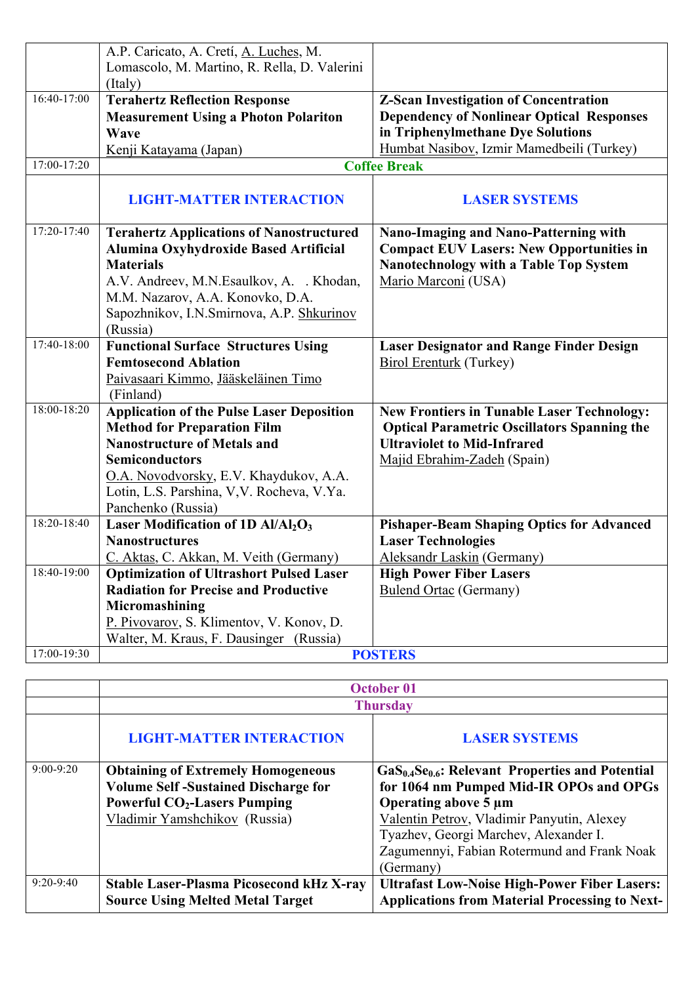|             | A.P. Caricato, A. Cretí, A. Luches, M.                                                   |                                                                 |
|-------------|------------------------------------------------------------------------------------------|-----------------------------------------------------------------|
|             | Lomascolo, M. Martino, R. Rella, D. Valerini                                             |                                                                 |
|             | (Italy)                                                                                  |                                                                 |
| 16:40-17:00 | <b>Terahertz Reflection Response</b>                                                     | <b>Z-Scan Investigation of Concentration</b>                    |
|             | <b>Measurement Using a Photon Polariton</b>                                              | <b>Dependency of Nonlinear Optical Responses</b>                |
|             | Wave                                                                                     | in Triphenylmethane Dye Solutions                               |
|             | Kenji Katayama (Japan)                                                                   | Humbat Nasibov, Izmir Mamedbeili (Turkey)                       |
| 17:00-17:20 |                                                                                          | <b>Coffee Break</b>                                             |
|             | <b>LIGHT-MATTER INTERACTION</b>                                                          | <b>LASER SYSTEMS</b>                                            |
| 17:20-17:40 | <b>Terahertz Applications of Nanostructured</b>                                          | <b>Nano-Imaging and Nano-Patterning with</b>                    |
|             | Alumina Oxyhydroxide Based Artificial                                                    | <b>Compact EUV Lasers: New Opportunities in</b>                 |
|             | <b>Materials</b>                                                                         | Nanotechnology with a Table Top System                          |
|             | A.V. Andreev, M.N. Esaulkov, A. . Khodan,                                                | Mario Marconi (USA)                                             |
|             | M.M. Nazarov, A.A. Konovko, D.A.                                                         |                                                                 |
|             | Sapozhnikov, I.N.Smirnova, A.P. Shkurinov                                                |                                                                 |
|             | (Russia)                                                                                 |                                                                 |
| 17:40-18:00 | <b>Functional Surface Structures Using</b>                                               | <b>Laser Designator and Range Finder Design</b>                 |
|             | <b>Femtosecond Ablation</b>                                                              | <b>Birol Erenturk (Turkey)</b>                                  |
|             | Paivasaari Kimmo, Jääskeläinen Timo                                                      |                                                                 |
|             | (Finland)                                                                                |                                                                 |
| 18:00-18:20 | <b>Application of the Pulse Laser Deposition</b>                                         | <b>New Frontiers in Tunable Laser Technology:</b>               |
|             | <b>Method for Preparation Film</b>                                                       | <b>Optical Parametric Oscillators Spanning the</b>              |
|             | <b>Nanostructure of Metals and</b>                                                       | <b>Ultraviolet to Mid-Infrared</b>                              |
|             | <b>Semiconductors</b>                                                                    | Majid Ebrahim-Zadeh (Spain)                                     |
|             | O.A. Novodvorsky, E.V. Khaydukov, A.A.                                                   |                                                                 |
|             | Lotin, L.S. Parshina, V.V. Rocheva, V.Ya.                                                |                                                                 |
| 18:20-18:40 | Panchenko (Russia)                                                                       |                                                                 |
|             | Laser Modification of 1D Al/Al <sub>2</sub> O <sub>3</sub><br><b>Nanostructures</b>      | <b>Pishaper-Beam Shaping Optics for Advanced</b>                |
|             |                                                                                          | <b>Laser Technologies</b><br>Aleksandr Laskin (Germany)         |
| 18:40-19:00 | C. Aktas, C. Akkan, M. Veith (Germany)<br><b>Optimization of Ultrashort Pulsed Laser</b> |                                                                 |
|             | <b>Radiation for Precise and Productive</b>                                              | <b>High Power Fiber Lasers</b><br><b>Bulend Ortac (Germany)</b> |
|             | Micromashining                                                                           |                                                                 |
|             | P. Pivovarov, S. Klimentov, V. Konov, D.                                                 |                                                                 |
|             | Walter, M. Kraus, F. Dausinger (Russia)                                                  |                                                                 |
| 17:00-19:30 |                                                                                          | <b>POSTERS</b>                                                  |
|             |                                                                                          |                                                                 |

|             | <b>October 01</b>                               |                                                       |
|-------------|-------------------------------------------------|-------------------------------------------------------|
|             | <b>Thursday</b>                                 |                                                       |
|             | <b>LIGHT-MATTER INTERACTION</b>                 | <b>LASER SYSTEMS</b>                                  |
| $9:00-9:20$ | <b>Obtaining of Extremely Homogeneous</b>       | $GaS0.4Se0.6$ : Relevant Properties and Potential     |
|             | <b>Volume Self-Sustained Discharge for</b>      | for 1064 nm Pumped Mid-IR OPOs and OPGs               |
|             | <b>Powerful CO<sub>2</sub>-Lasers Pumping</b>   | Operating above 5 µm                                  |
|             | Vladimir Yamshchikov (Russia)                   | Valentin Petrov, Vladimir Panyutin, Alexey            |
|             |                                                 | Tyazhev, Georgi Marchev, Alexander I.                 |
|             |                                                 | Zagumennyi, Fabian Rotermund and Frank Noak           |
|             |                                                 | (Germany)                                             |
| $9:20-9:40$ | <b>Stable Laser-Plasma Picosecond kHz X-ray</b> | <b>Ultrafast Low-Noise High-Power Fiber Lasers:</b>   |
|             | <b>Source Using Melted Metal Target</b>         | <b>Applications from Material Processing to Next-</b> |